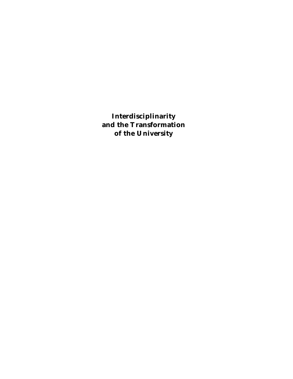**Interdisciplinarity and the Transformation of the University**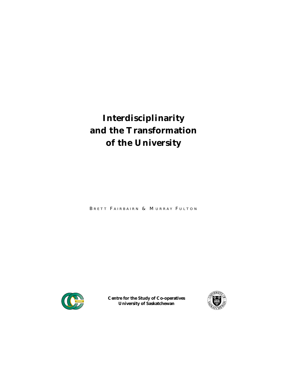# **Interdisciplinarity and the Transformation of the University**

BRETT FAIRBAIRN & MURRAY FULTON



**Centre for the Study of Co-operatives University of Saskatchewan**

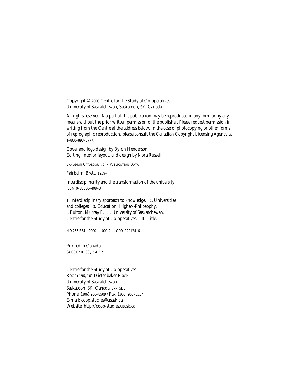Copyright © 2000 Centre for the Study of Co-operatives University of Saskatchewan, Saskatoon, SK, Canada

All rights reserved. No part of this publication may be reproduced in any form or by any means without the prior written permission of the publisher. Please request permission in writing from the Centre at the address below. In the case of photocopying or other forms of reprographic reproduction, please consult the Canadian Copyright Licensing Agency at 1–800–893–5777.

Cover and logo design by Byron Henderson Editing, interior layout, and design by Nora Russell

CANADIAN CATALOGUING IN PUBLICATION DATA

Fairbairn, Brett, 1959–

Interdisciplinarity and the transformation of the university ISBN 0–88880–408–3

1. Interdisciplinary approach to knowledge. 2. Universities and colleges. 3. Education, Higher--Philosophy. I. Fulton, Murray E. II. University of Saskatchewan. Centre for the Study of Co-operatives. III. Title.

HD255.F34 2000 001.2 C00–920124–6

Printed in Canada 04 03 02 01 00 / 5 4 3 2 1

Centre for the Study of Co-operatives Room 196, 101 Diefenbaker Place University of Saskatchewan Saskatoon SK Canada S7N 5B8 Phone: (306) 966–8509 / Fax: (306) 966–8517 E-mail: coop.studies@usask.ca Website: http://coop-studies.usask.ca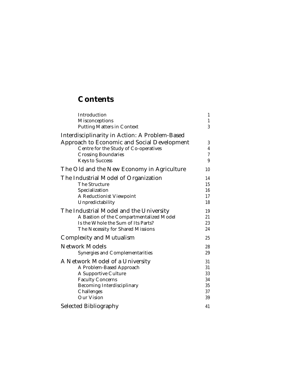# **Contents**

| Introduction                                   | 1  |
|------------------------------------------------|----|
| <b>Misconceptions</b>                          | 1  |
| <b>Putting Matters in Context</b>              | 3  |
| Interdisciplinarity in Action: A Problem-Based |    |
| Approach to Economic and Social Development    | 3  |
| Centre for the Study of Co-operatives          | 4  |
| <b>Crossing Boundaries</b>                     | 7  |
| <b>Keys to Success</b>                         | 9  |
| The Old and the New Economy in Agriculture     | 10 |
| The Industrial Model of Organization           | 14 |
| The Structure                                  | 15 |
| Specialization                                 | 16 |
| <b>A Reductionist Viewpoint</b>                | 17 |
| Unpredictability                               | 18 |
| The Industrial Model and the University        | 19 |
| A Bastion of the Compartmentalized Model       | 21 |
| Is the Whole the Sum of Its Parts?             | 23 |
| The Necessity for Shared Missions              | 24 |
| <b>Complexity and Mutualism</b>                | 25 |
| <b>Network Models</b>                          | 28 |
| <b>Synergies and Complementarities</b>         | 29 |
| A Network Model of a University                | 31 |
| A Problem-Based Approach                       | 31 |
| <b>A Supportive Culture</b>                    | 33 |
| <b>Faculty Concerns</b>                        | 34 |
| <b>Becoming Interdisciplinary</b>              | 35 |
| Challenges                                     | 37 |
| <b>Our Vision</b>                              | 39 |
| <b>Selected Bibliography</b>                   | 41 |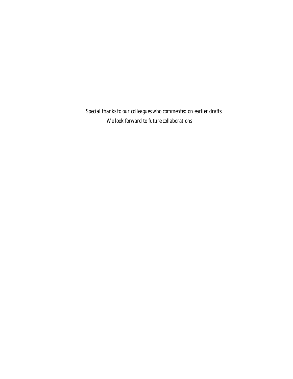*Special thanks to our colleagues who commented on earlier drafts We look forward to future collaborations*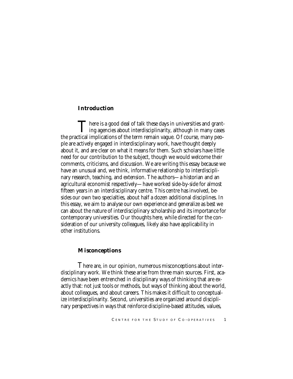# *Introduction*

There is a good deal of talk these days in universities and grant-<br>ing agencies about interdisciplinarity, although in many cases<br>tied invaligations of the term numeric uncess. Of service many needs the practical implications of the term remain vague. Of course, many people are actively engaged in interdisciplinary work, have thought deeply about it, and are clear on what it means for them. Such scholars have little need for our contribution to the subject, though we would welcome their comments, criticisms, and discussion. We are writing this essay because we have an unusual and, we think, informative relationship to interdisciplinary research, teaching, and extension. The authors—a historian and an agricultural economist respectively—have worked side-by-side for almost fifteen years in an interdisciplinary centre. This centre has involved, besides our own two specialties, about half a dozen additional disciplines. In this essay, we aim to analyse our own experience and generalize as best we can about the nature of interdisciplinary scholarship and its importance for contemporary universities. Our thoughts here, while directed for the consideration of our university colleagues, likely also have applicability in other institutions.

# *Misconceptions*

There are, in our opinion, numerous misconceptions about interdisciplinary work. We think these arise from three main sources. First, academics have been entrenched in disciplinary ways of thinking that are exactly that: not just tools or methods, but ways of thinking about the world, about colleagues, and about careers. This makes it difficult to conceptualize interdisciplinarity. Second, universities are organized around disciplinary perspectives in ways that reinforce discipline-based attitudes, values,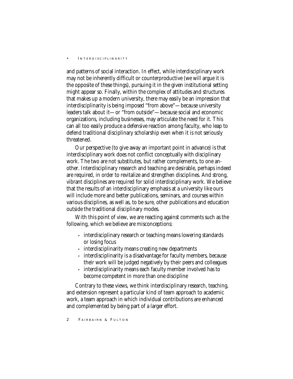and patterns of social interaction. In effect, while interdisciplinary work may not be inherently difficult or counterproductive (we will argue it is the opposite of these things), pursuing it in the given institutional setting might appear so. Finally, within the complex of attitudes and structures that makes up a modern university, there may easily be an impression that interdisciplinarity is being imposed "from above"—because university leaders talk about it—or "from outside"—because social and economic organizations, including businesses, may articulate the need for it. This can all too easily produce a defensive reaction among faculty, who leap to defend traditional disciplinary scholarship even when it is not seriously threatened.

Our perspective (to give away an important point in advance) is that interdisciplinary work does not conflict conceptually with disciplinary work. The two are not substitutes, but rather complements, to one another. Interdisciplinary research and teaching are desirable, perhaps indeed are required, in order to revitalize and strengthen disciplines. And strong, vibrant disciplines are required for solid interdisciplinary work. We believe that the results of an interdisciplinary emphasis at a university like ours will include more and better publications, seminars, and courses within various disciplines, as well as, to be sure, other publications and education outside the traditional disciplinary modes.

With this point of view, we are reacting against comments such as the following, which we believe are misconceptions:

- interdisciplinary research or teaching means lowering standards or losing focus
- interdisciplinarity means creating new departments
- interdisciplinarity is a disadvantage for faculty members, because their work will be judged negatively by their peers and colleagues
- interdisciplinarity means each faculty member involved has to become competent in more than one discipline

Contrary to these views, we think interdisciplinary research, teaching, and extension represent a particular kind of team approach to academic work, a team approach in which individual contributions are enhanced and complemented by being part of a larger effort.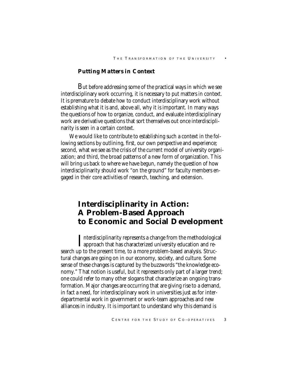## *Putting Matters in Context*

But before addressing some of the practical ways in which we see interdisciplinary work occurring, it is necessary to put matters in context. It is premature to debate *how* to conduct interdisciplinary work without establishing what it is and, above all, why it is important. In many ways the questions of how to organize, conduct, and evaluate interdisciplinary work are derivative questions that sort themselves out once interdisciplinarity is seen in a certain context.

We would like to contribute to establishing such a context in the following sections by outlining, first, our own perspective and experience; second, what we see as the crisis of the current model of university organization; and third, the broad patterns of a new form of organization. This will bring us back to where we have begun, namely the question of how interdisciplinarity should work "on the ground" for faculty members engaged in their core activities of research, teaching, and extension.

# **Interdisciplinarity in Action: A Problem-Based Approach to Economic and Social Development**

Interdisciplinarity represents a change from the methodologie<br>approach that has characterized university education and re-Interdisciplinarity represents a change from the methodological search up to the present time, to a more problem-based analysis. Structural changes are going on in our economy, society, and culture. Some sense of these changes is captured by the buzzwords "the knowledge economy." That notion is useful, but it represents only part of a larger trend; one could refer to many other slogans that characterize an ongoing transformation. Major changes are occurring that are giving rise to a demand, in fact a need, for interdisciplinary work in universities just as for interdepartmental work in government or work-team approaches and new alliances in industry. It is important to understand why this demand is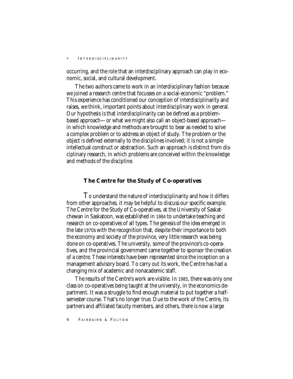occurring, and the role that an interdisciplinary approach can play in economic, social, and cultural development.

The two authors came to work in an interdisciplinary fashion because we joined a research centre that focusses on a social-economic "problem." This experience has conditioned our conception of interdisciplinarity and raises, we think, important points about interdisciplinary work in general. Our hypothesis is that interdisciplinarity can be defined as a problembased approach—or what we might also call an object-based approach in which knowledge and methods are brought to bear as needed to solve a complex problem or to address an object of study. The problem or the object is defined externally to the disciplines involved; it is not a simple intellectual construct or abstraction. Such an approach is distinct from disciplinary research, in which problems are conceived within the knowledge and methods of the discipline.

### *The Centre for the Study of Co-operatives*

To understand the nature of interdisciplinarity and how it differs from other approaches, it may be helpful to discuss our specific example. The Centre for the Study of Co-operatives, at the University of Saskatchewan in Saskatoon, was established in 1984 to undertake teaching and research on co-operatives of all types. The genesis of the idea emerged in the late 1970s with the recognition that, despite their importance to both the economy and society of the province, very little research was being done on co-operatives. The university, some of the province's co-operatives, and the provincial government came together to sponsor the creation of a centre. These interests have been represented since the inception on a management advisory board. To carry out its work, the Centre has had a changing mix of academic and nonacademic staff.

The results of the Centre's work are visible. In 1985, there was only one class on co-operatives being taught at the university, in the economics department. It was a struggle to find enough material to put together a halfsemester course. That's no longer true. Due to the work of the Centre, its partners and affiliated faculty members, and others, there is now a large

4 FAIRBAIRN & FULTON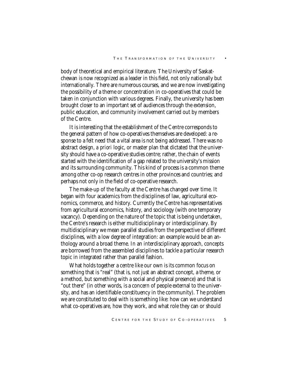body of theoretical and empirical literature. The University of Saskatchewan is now recognized as a leader in this field, not only nationally but internationally. There are numerous courses, and we are now investigating the possibility of a theme or concentration in co-operatives that could be taken in conjunction with various degrees. Finally, the university has been brought closer to an important set of audiences through the extension, public education, and community involvement carried out by members of the Centre.

It is interesting that the establishment of the Centre corresponds to the general pattern of how co-operatives themselves are developed: a response to a felt need that a vital area is not being addressed. There was no abstract design, *a priori* logic, or master plan that dictated that the university should have a co-operative studies centre; rather, the chain of events started with the identification of a gap related to the university's mission and its surrounding community. This kind of process is a common theme among other co-op research centres in other provinces and countries; and perhaps not only in the field of co-operative research.

The make-up of the faculty at the Centre has changed over time. It began with four academics from the disciplines of law, agricultural economics, commerce, and history. Currently the Centre has representatives from agricultural economics, history, and sociology (with one temporary vacancy). Depending on the nature of the topic that is being undertaken, the Centre's research is either multidisciplinary or interdisciplinary. By multidisciplinary we mean parallel studies from the perspective of different disciplines, with a low degree of integration: an example would be an anthology around a broad theme. In an interdisciplinary approach, concepts are borrowed from the assembled disciplines to tackle a particular research topic in integrated rather than parallel fashion.

What holds together a centre like our own is its common focus on something that is "real" (that is, not just an abstract concept, a theme, or a method, but something with a social and physical presence) and that is "out there" (in other words, is a concern of people external to the university, and has an identifiable constituency in the community). The problem we are constituted to deal with is something like: how can we understand what co-operatives are, how they work, and what role they can or should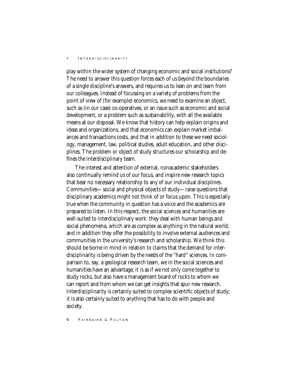play within the wider system of changing economic and social institutions? The need to answer this question forces each of us beyond the boundaries of a single discipline's answers, and requires us to lean on and learn from our colleagues. Instead of focussing on a variety of problems from the point of view of (for example) economics, we need to examine an object, such as (in our case) co-operatives, or an issue such as economic and social development, or a problem such as sustainability, with all the available means at our disposal. We know that history can help explain origins and ideas and organizations, and that economics can explain market imbalances and transactions costs, and that in addition to these we need sociology, management, law, political studies, adult education, and other disciplines. The problem or object of study structures our scholarship and defines the interdisciplinary team.

The interest and attention of external, nonacademic stakeholders also continually remind us of our focus, and inspire new research topics that bear no necessary relationship to any of our individual disciplines. Communities—social and physical objects of study—raise questions that disciplinary academics might not think of or focus upon. This is especially true when the community in question has a voice and the academics are prepared to listen. In this respect, the social sciences and humanities are well-suited to interdisciplinary work: they deal with human beings and social phenomena, which are as complex as anything in the natural world; and in addition they offer the possibility to involve external audiences and communities in the university's research and scholarship. We think this should be borne in mind in relation to claims that the demand for interdisciplinarity is being driven by the needs of the "hard" sciences. In comparison to, say, a geological research team, we in the social sciences and humanities have an advantage; it is as if we not only come together to study rocks, but also have a management board of rocks to whom we can report and from whom we can get insights that spur new research. Interdisciplinarity is certainly suited to complex scientific objects of study; it is also certainly suited to anything that has to do with people and society.

6 FAIRBAIRN & FULTON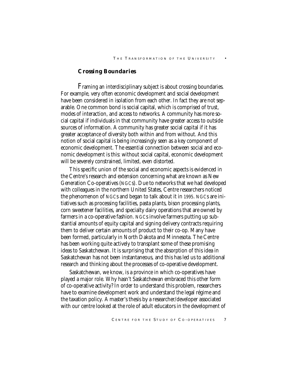# *Crossing Boundaries*

Framing an interdisciplinary subject is about crossing boundaries. For example, very often economic development and social development have been considered in isolation from each other. In fact they are not separable. One common bond is social capital, which is comprised of trust, modes of interaction, and access to networks. A community has more social capital if individuals in that community have greater access to outside sources of information. A community has greater social capital if it has greater acceptance of diversity both within and from without. And this notion of social capital is being increasingly seen as a key component of economic development. The essential connection between social and economic development is this: without social capital, economic development will be severely constrained, limited, even distorted.

This specific union of the social and economic aspects is evidenced in the Centre's research and extension concerning what are known as New Generation Co-operatives (NGCs). Due to networks that we had developed with colleagues in the northern United States, Centre researchers noticed the phenomenon of NGCs and began to talk about it in 1995. NGCs are initiatives such as processing facilities, pasta plants, bison processing plants, corn sweetener facilities, and specialty dairy operations that are owned by farmers in a co-operative fashion. NGCs involve farmers putting up substantial amounts of equity capital and signing delivery contracts requiring them to deliver certain amounts of product to their co-op. Many have been formed, particularly in North Dakota and Minnesota. The Centre has been working quite actively to transplant some of these promising ideas to Saskatchewan. It is surprising that the absorption of this idea in Saskatchewan has not been instantaneous, and this has led us to additional research and thinking about the processes of co-operative development.

Saskatchewan, we know, is a province in which co-operatives have played a major role. Why hasn't Saskatchewan embraced this other form of co-operative activity? In order to understand this problem, researchers have to examine development work and understand the legal régime and the taxation policy. A master's thesis by a researcher/developer associated with our centre looked at the role of adult educators in the development of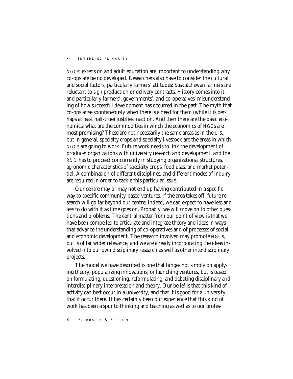NGCs: extension and adult education are important to understanding why co-ops are being developed. Researchers also have to consider the cultural and social factors, particularly farmers' attitudes: Saskatchewan farmers are reluctant to sign production or delivery contracts. History comes into it, and particularly farmers', governments', and co-operatives' misunderstanding of how successful development has occurred in the past. The myth that co-ops arise spontaneously when there is a need for them (while it is perhaps at least half-true) justifies inaction. And then there are the basic economics: what are the commodities in which the economics of NGCs are most promising? These are not necessarily the same areas as in the U.S., but in general, specialty crops and specialty livestock are the areas in which NGCs are going to work. Future work needs to link the development of producer organizations with university research and development, and the R&D has to proceed concurrently in studying organizational structures, agronomic characteristics of specialty crops, food uses, and market potential. A combination of different disciplines, and different modes of inquiry, are required in order to tackle this particular issue.

Our centre may or may not end up having contributed in a specific way to specific community-based ventures. If the area takes off, future research will go far beyond our centre; indeed, we can expect to have less and less to do with it as time goes on. Probably, we will move on to other questions and problems. The central matter from our point of view is that we have been compelled to articulate and integrate theory and ideas in ways that advance the understanding of co-operatives and of processes of social and economic development. The research involved may promote NGCs, but is of far wider relevance, and we are already incorporating the ideas involved into our own disciplinary research as well as other interdisciplinary projects.

The model we have described is one that hinges not simply on applying theory, popularizing innovations, or launching ventures, but is based on formulating, questioning, reformulating, and debating disciplinary and interdisciplinary interpretation and theory. Our belief is that this kind of activity can best occur in a university, and that it is good for a university that it occur there. It has certainly been our experience that this kind of work has been a spur to thinking and teaching as well as to our profes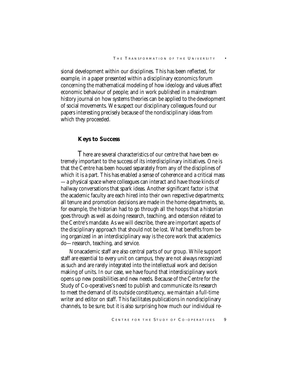sional development within our disciplines. This has been reflected, for example, in a paper presented within a disciplinary economics forum concerning the mathematical modeling of how ideology and values affect economic behaviour of people; and in work published in a mainstream history journal on how systems theories can be applied to the development of social movements. We suspect our disciplinary colleagues found our papers interesting precisely because of the nondisciplinary ideas from which they proceeded.

# *Keys to Success*

There are several characteristics of our centre that have been extremely important to the success of its interdisciplinary initiatives. One is that the Centre has been housed separately from any of the disciplines of which it is a part. This has enabled a sense of coherence and a critical mass —a physical space where colleagues can interact and have those kinds of hallway conversations that spark ideas. Another significant factor is that the academic faculty are each hired into their own respective departments; all tenure and promotion decisions are made in the home departments, so, for example, the historian had to go through all the hoops that a historian goes through as well as doing research, teaching, and extension related to the Centre's mandate. As we will describe, there are important aspects of the disciplinary approach that should not be lost. What benefits from being organized in an interdisciplinary way is the core work that academics do—research, teaching, and service.

Nonacademic staff are also central parts of our group. While support staff are essential to every unit on campus, they are not always recognized as such and are rarely integrated into the intellectual work and decision making of units. In our case, we have found that interdisciplinary work opens up new possibilities and new needs. Because of the Centre for the Study of Co-operatives's need to publish and communicate its research to meet the demand of its outside constituency, we maintain a full-time writer and editor on staff. This facilitates publications in nondisciplinary channels, to be sure; but it is also surprising how much our individual re-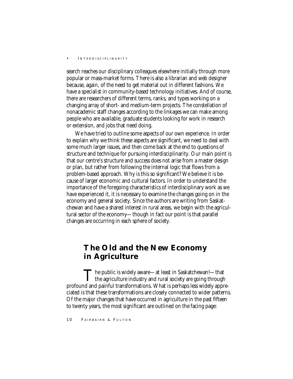search reaches our disciplinary colleagues elsewhere initially through more popular or mass-market forms. There is also a librarian and web designer because, again, of the need to get material out in different fashions. We have a specialist in community-based technology initiatives. And of course, there are researchers of different terms, ranks, and types working on a changing array of short- and medium-term projects. The constellation of nonacademic staff changes according to the linkages we can make among people who are available, graduate students looking for work in research or extension, and jobs that need doing.

We have tried to outline some aspects of our own experience. In order to explain why we think these aspects are significant, we need to deal with some much larger issues, and then come back at the end to questions of structure and technique for pursuing interdisciplinarity. Our main point is that our centre's structure and success does not arise from a master design or plan, but rather from following the internal logic that flows from a problem-based approach. Why is this so significant? We believe it is because of larger economic and cultural factors. In order to understand the importance of the foregoing characteristics of interdisciplinary work as we have experienced it, it is necessary to examine the changes going on in the economy and general society. Since the authors are writing from Saskatchewan and have a shared interest in rural areas, we begin with the agricultural sector of the economy—though in fact our point is that parallel changes are occurring in each sphere of society.

# **The Old and the New Economy in Agriculture**

 $\prod$  he public is widely aware—at least in Saskatchewan!—that<br>the agriculture industry and rural society are going through profound and painful transformations. What is perhaps less widely appreciated is that these transformations are closely connected to wider patterns. Of the major changes that have occurred in agriculture in the past fifteen to twenty years, the most significant are outlined on the facing page:

10 FAIRBAIRN & FULTON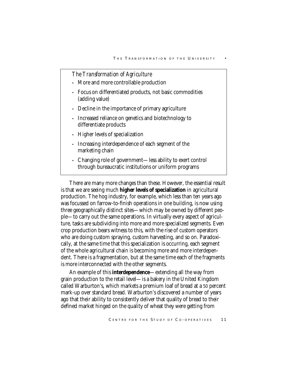# *The Transformation of Agriculture*

- More and more controllable production
- Focus on differentiated products, not basic commodities (adding value)
- Decline in the importance of primary agriculture
- Increased reliance on genetics and biotechnology to differentiate products
- Higher levels of specialization
- Increasing interdependence of each segment of the marketing chain
- Changing role of government—less ability to exert control through bureaucratic institutions or uniform programs

There are many more changes than these. However, the essential result is that we are seeing much **higher levels of specialization** in agricultural production. The hog industry, for example, which less than ten years ago was focussed on farrow-to-finish operations in one building, is now using three geographically distinct sites—which may be owned by different people—to carry out the same operations. In virtually every aspect of agriculture, tasks are subdividing into more and more specialized segments. Even crop production bears witness to this, with the rise of custom operators who are doing custom spraying, custom harvesting, and so on. Paradoxically, at the same time that this specialization is occurring, each segment of the whole agricultural chain is becoming more and more interdependent. There is a fragmentation, but at the same time each of the fragments is more interconnected with the other segments.

An example of this **interdependence**—extending all the way from grain production to the retail level—is a bakery in the United Kingdom called Warburton's, which markets a premium loaf of bread at a 50 percent mark-up over standard bread. Warburton's discovered a number of years ago that their ability to consistently deliver that quality of bread to their defined market hinged on the quality of wheat they were getting from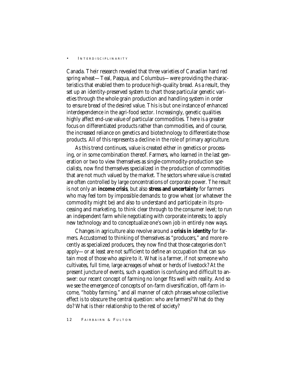Canada. Their research revealed that three varieties of Canadian hard red spring wheat—Teal, Pasqua, and Columbus—were providing the characteristics that enabled them to produce high-quality bread. As a result, they set up an identity-preserved system to chart those particular genetic varieties through the whole grain production and handling system in order to ensure bread of the desired value. This is but one instance of enhanced interdependence in the agri-food sector. Increasingly, genetic qualities highly affect end-use value of particular commodities. There is a greater focus on differentiated products rather than commodities, and of course, the increased reliance on genetics and biotechnology to differentiate those products. All of this represents a decline in the role of primary agriculture.

As this trend continues, value is created either in genetics or processing, or in some combination thereof. Farmers, who learned in the last generation or two to view themselves as single-commodity-production specialists, now find themselves specialized in the production of commodities that are not much valued by the market. The sectors where value is created are often controlled by large concentrations of corporate power. The result is not only an **income crisis**, but also **stress and uncertainty** for farmers who may feel torn by impossible demands: to grow wheat (or whatever the commodity might be) and also to understand and participate in its processing and marketing, to think clear through to the consumer level; to run an independent farm while negotiating with corporate interests; to apply new technology and to conceptualize one's own job in entirely new ways.

Changes in agriculture also revolve around a **crisis in identity** for farmers. Accustomed to thinking of themselves as "producers," and more recently as specialized producers, they now find that those categories don't apply—or at least are not sufficient to define an occupation that can sustain most of those who aspire to it. What is a farmer, if not someone who cultivates, full time, large acreages of wheat or herds of livestock? At the present juncture of events, such a question is confusing and difficult to answer: our recent concept of farming no longer fits well with reality. And so we see the emergence of concepts of on-farm diversification, off-farm income, "hobby farming," and all manner of catch phrases whose collective effect is to obscure the central question: who are farmers? What do they do? What is their relationship to the rest of society?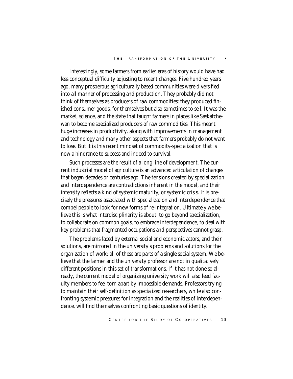#### THE TRANSFORMATION OF THE UNIVERSITY

Interestingly, some farmers from earlier eras of history would have had less conceptual difficulty adjusting to recent changes. Five hundred years ago, many prosperous agriculturally based communities were diversified into all manner of processing and production. They probably did not think of themselves as producers of raw commodities; they produced finished consumer goods, for themselves but also sometimes to sell. It was the market, science, and the state that taught farmers in places like Saskatchewan to become specialized producers of raw commodities. This meant huge increases in productivity, along with improvements in management and technology and many other aspects that farmers probably do not want to lose. But it is this *recent* mindset of commodity-specialization that is now a hindrance to success and indeed to survival.

Such processes are the result of a long line of development. The current industrial model of agriculture is an advanced articulation of changes that began decades or centuries ago. The tensions created by specialization and interdependence are contradictions inherent in the model, and their intensity reflects a kind of systemic maturity, or systemic crisis. It is precisely the pressures associated with specialization and interdependence that compel people to look for new forms of re-integration. Ultimately we believe this is what interdisciplinarity is about: to go beyond specialization, to collaborate on common goals, to embrace interdependence, to deal with key problems that fragmented occupations and perspectives cannot grasp.

The problems faced by external social and economic actors, and their solutions, are mirrored in the university's problems and solutions for the organization of work: all of these are parts of a single social system. We believe that the farmer and the university professor are not in qualitatively different positions in this set of transformations. If it has not done so already, the current model of organizing university work will also lead faculty members to feel torn apart by impossible demands. Professors trying to maintain their self-definition as specialized researchers, while also confronting systemic pressures for integration and the realities of interdependence, will find themselves confronting basic questions of identity.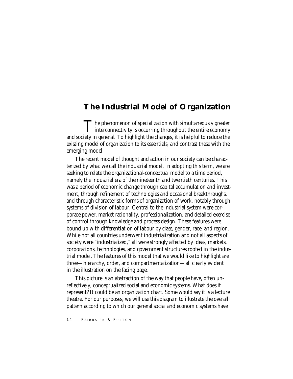# **The Industrial Model of Organization**

The phenomenon of specialization with simultaneously greater<br>interconnectivity is occurring throughout the entire economy and society in general. To highlight the changes, it is helpful to reduce the existing model of organization to its essentials, and contrast these with the emerging model.

The recent model of thought and action in our society can be characterized by what we call the industrial model. In adopting this term, we are seeking to relate the organizational-conceptual model to a time period, namely the industrial era of the nineteenth and twentieth centuries. This was a period of economic change through capital accumulation and investment, through refinement of technologies and occasional breakthroughs, and through characteristic forms of organization of work, notably through systems of division of labour. Central to the industrial system were corporate power, market rationality, professionalization, and detailed exercise of control through knowledge and process design. These features were bound up with differentiation of labour by class, gender, race, and region. While not all countries underwent industrialization and not all aspects of society were "industrialized," all were strongly affected by ideas, markets, corporations, technologies, and government structures rooted in the industrial model. The features of this model that we would like to highlight are three—hierarchy, order, and compartmentalization—all clearly evident in the illustration on the facing page.

This picture is an abstraction of the way that people have, often unreflectively, conceptualized social and economic systems. What does it represent? It could be an organization chart. Some would say it is a lecture theatre. For our purposes, we will use this diagram to illustrate the overall pattern according to which our general social and economic systems have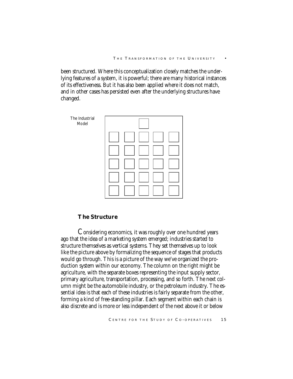been structured. Where this conceptualization closely matches the underlying features of a system, it is powerful; there are many historical instances of its effectiveness. But it has also been applied where it does not match, and in other cases has persisted even after the underlying structures have changed.



# *The Structure*

Considering economics, it was roughly over one hundred years ago that the idea of a marketing system emerged; industries started to structure themselves as vertical systems. They set themselves up to look like the picture above by formalizing the sequence of stages that products would go through. This is a picture of the way we've organized the production system within our economy. The column on the right might be agriculture, with the separate boxes representing the input supply sector, primary agriculture, transportation, processing, and so forth. The next column might be the automobile industry, or the petroleum industry. The essential idea is that each of these industries is fairly separate from the other, forming a kind of free-standing pillar. Each segment within each chain is also discrete and is more or less independent of the next above it or below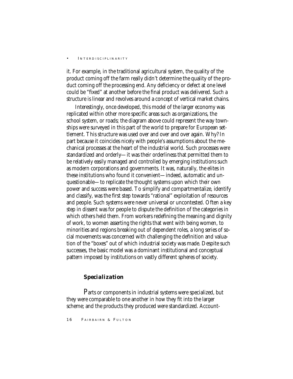it. For example, in the traditional agricultural system, the quality of the product coming off the farm really didn't determine the quality of the product coming off the processing end. Any deficiency or defect at one level could be "fixed" at another before the final product was delivered. Such a structure is linear and revolves around a concept of vertical market chains.

Interestingly, once developed, this model of the larger economy was replicated within other more specific areas such as organizations, the school system, or roads; the diagram above could represent the way townships were surveyed in this part of the world to prepare for European settlement. This structure was used over and over and over again. Why? In part because it coincides nicely with people's assumptions about the mechanical processes at the heart of the industrial world. Such processes were standardized and orderly—it was their orderliness that permitted them to be relatively easily managed and controlled by emerging institutions such as modern corporations and governments. It was, naturally, the elites in these institutions who found it convenient—indeed, automatic and unquestionable—to replicate the thought systems upon which their own power and success were based. To simplify and compartmentalize, identify and classify, was the first step towards "rational" exploitation of resources and people. Such systems were never universal or uncontested. Often a key step in dissent was for people to dispute the definition of the categories in which others held them. From workers redefining the meaning and dignity of work, to women asserting the rights that went with being women, to minorities and regions breaking out of dependent roles, a long series of social movements was concerned with challenging the definition and valuation of the "boxes" out of which industrial society was made. Despite such successes, the basic model was a dominant institutional and conceptual pattern imposed by institutions on vastly different spheres of society.

# *Specialization*

Parts or components in industrial systems were specialized, but they were comparable to one another in how they fit into the larger scheme; and the products they produced were standardized. Account-

16 FAIRBAIRN & FULTON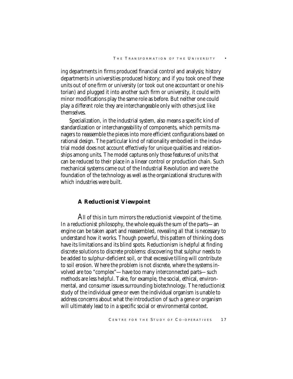ing departments in firms produced financial control and analysis; history departments in universities produced history; and if you took one of these units out of one firm or university (or took out one accountant or one historian) and plugged it into another such firm or university, it could with minor modifications play the same role as before. But neither one could play a *different* role: they are interchangeable only with others just like themselves.

Specialization, in the industrial system, also means a specific kind of standardization or interchangeability of components, which permits managers to reassemble the pieces into more efficient configurations based on rational design. The particular kind of rationality embodied in the industrial model does not account effectively for unique qualities and relationships among units. The model captures only those features of units that can be reduced to their place in a linear control or production chain. Such mechanical systems came out of the Industrial Revolution and were the foundation of the technology as well as the organizational structures with which industries were built.

### *A Reductionist Viewpoint*

All of this in turn mirrors the reductionist viewpoint of the time. In a reductionist philosophy, the whole equals the sum of the parts—an engine can be taken apart and reassembled, revealing all that is necessary to understand how it works. Though powerful, this pattern of thinking does have its limitations and its blind spots. Reductionism is helpful at finding discrete solutions to discrete problems: discovering that sulphur needs to be added to sulphur-deficient soil, or that excessive tilling will contribute to soil erosion. Where the problem is not discrete, where the systems involved are too "complex"—have too many interconnected parts—such methods are less helpful. Take, for example, the social, ethical, environmental, and consumer issues surrounding biotechnology. The reductionist study of the individual gene or even the individual organism is unable to address concerns about what the introduction of such a gene or organism will ultimately lead to in a specific social or environmental context.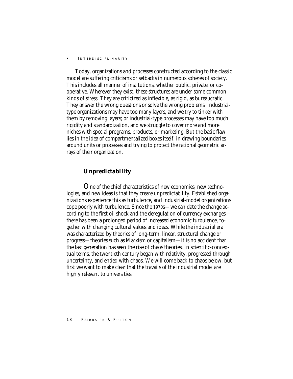Today, organizations and processes constructed according to the classic model are suffering criticisms or setbacks in numerous spheres of society. This includes all manner of institutions, whether public, private, or cooperative. Wherever they exist, these structures are under some common kinds of stress. They are criticized as inflexible, as rigid, as bureaucratic. They answer the wrong questions or solve the wrong problems. Industrialtype organizations may have too many layers, and we try to tinker with them by removing layers; or industrial-type processes may have too much rigidity and standardization, and we struggle to cover more and more niches with special programs, products, or marketing. But the basic flaw lies in the idea of compartmentalized boxes itself, in drawing boundaries around units or processes and trying to protect the rational geometric arrays of their organization.

# *Unpredictability*

One of the chief characteristics of new economies, new technologies, and new ideas is that they create unpredictability. Established organizations experience this as turbulence, and industrial-model organizations cope poorly with turbulence. Since the 1970s—we can date the change according to the first oil shock and the deregulation of currency exchanges there has been a prolonged period of increased economic turbulence, together with changing cultural values and ideas. While the industrial era was characterized by theories of long-term, linear, structural change or progress—theories such as Marxism or capitalism—it is no accident that the last generation has seen the rise of chaos theories. In scientific-conceptual terms, the twentieth century began with relativity, progressed through uncertainty, and ended with chaos. We will come back to chaos below, but first we want to make clear that the travails of the industrial model are highly relevant to universities.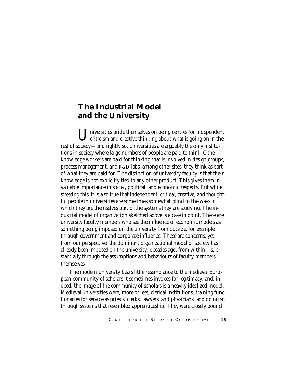# **The Industrial Model and the University**

Universities pride themselves on being centres for independent criticism and creative thinking about what is going on in the rest of society—and rightly so. Universities are arguably the only institutions in society where large numbers of people are paid to *think*. Other knowledge workers are paid for thinking that is involved in design groups, process management, and R&D labs, among other sites; they think as part of what they are paid for. The distinction of university faculty is that their knowledge is not explicitly tied to any other product. This gives them invaluable importance in social, political, and economic respects. But while stressing this, it is also true that independent, critical, creative, and thoughtful people in universities are sometimes somewhat blind to the ways in which they are themselves part of the systems they are studying. The industrial model of organization sketched above is a case in point. There are university faculty members who see the influence of economic models as something being imposed on the university from outside, for example through government and corporate influence. These are concerns; yet from our perspective, the dominant organizational model of society has already been imposed on the university, decades ago, from within—substantially through the assumptions and behaviours of faculty members themselves.

The modern university bears little resemblance to the medieval European community of scholars it sometimes invokes for legitimacy; and, indeed, the image of the community of scholars is a heavily idealized model. Medieval universities were, more or less, clerical institutions, training functionaries for service as priests, clerks, lawyers, and physicians; and doing so through systems that resembled apprenticeship. They were closely bound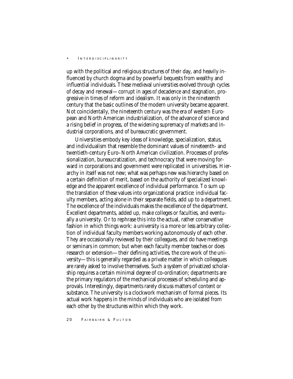up with the political and religious structures of their day, and heavily influenced by church dogma and by powerful bequests from wealthy and influential individuals. These medieval universities evolved through cycles of decay and renewal—corrupt in ages of decadence and stagnation, progressive in times of reform and idealism. It was only in the nineteenth century that the basic outlines of the modern university became apparent. Not coincidentally, the nineteenth century was the era of western European and North American industrialization, of the advance of science and a rising belief in progress, of the widening supremacy of markets and industrial corporations, and of bureaucratic government.

Universities embody key ideas of knowledge, specialization, status, and individualism that resemble the dominant values of nineteenth- and twentieth-century Euro–North American civilization. Processes of professionalization, bureaucratization, and technocracy that were moving forward in corporations and government were replicated in universities. Hierarchy in itself was not new; what was perhaps new was hierarchy based on a certain definition of merit, based on the authority of specialized knowledge and the apparent excellence of individual performance. To sum up the translation of these values into organizational practice: individual faculty members, acting alone in their separate fields, add up to a department. The excellence of the individuals makes the excellence of the department. Excellent departments, added up, make colleges or faculties, and eventually a university. Or to rephrase this into the actual, rather conservative fashion in which things work: a university is a more or less arbitrary collection of individual faculty members working autonomously of each other. They are occasionally reviewed by their colleagues, and do have meetings or seminars in common; but when each faculty member teaches or does research or extension—their defining activities, the core work of the university—this is generally regarded as a private matter in which colleagues are rarely asked to involve themselves. Such a system of privatized scholarship requires a certain minimal degree of co-ordination; departments are the primary regulators of the mechanical processes of scheduling and approvals. Interestingly, departments rarely discuss matters of content or substance. The university is a clockwork mechanism of formal pieces. Its actual work happens in the minds of individuals who are isolated from each other by the structures within which they work.

20 FAIRBAIRN & FULTON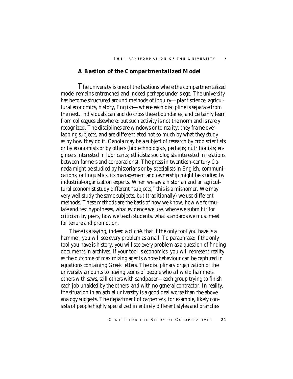# *A Bastion of the Compartmentalized Model*

The university is one of the bastions where the compartmentalized model remains entrenched and indeed perhaps under siege. The university has become structured around methods of inquiry—plant science, agricultural economics, history, English—where each discipline is separate from the next. Individuals can and do cross these boundaries, and certainly learn from colleagues elsewhere; but such activity is not the norm and is rarely recognized. The disciplines are windows onto reality; they frame overlapping subjects, and are differentiated not so much by what they study as by how they do it. Canola may be a subject of research by crop scientists or by economists or by others (biotechnologists, perhaps; nutritionists; engineers interested in lubricants; ethicists; sociologists interested in relations between farmers and corporations). The press in twentieth-century Canada might be studied by historians or by specialists in English, communications, or linguistics; its management and ownership might be studied by industrial-organization experts. When we say a historian and an agricultural economist study different "subjects," this is a misnomer. We may very well study the same subjects, but (traditionally) we use different methods. These methods are the basis of how we know, how we formulate and test hypotheses, what evidence we use, where we submit it for criticism by peers, how we teach students, what standards we must meet for tenure and promotion.

There is a saying, indeed a cliché, that if the only tool you have is a hammer, you will see every problem as a nail. To paraphrase: if the only tool you have is history, you will see every problem as a question of finding documents in archives. If your tool is economics, you will represent reality as the outcome of maximizing agents whose behaviour can be captured in equations containing Greek letters. The disciplinary organization of the university amounts to having teams of people who all wield hammers, others with saws, still others with sandpaper—each group trying to finish each job unaided by the others, and with no general contractor. In reality, the situation in an actual university is a good deal worse than the above analogy suggests. The department of carpenters, for example, likely consists of people highly specialized in entirely different styles and branches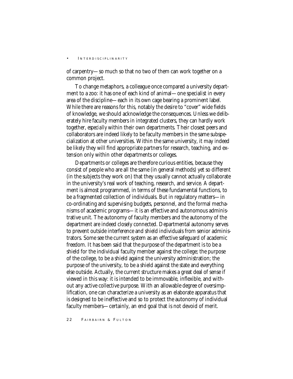of carpentry—so much so that no two of them can work together on a common project.

To change metaphors, a colleague once compared a university department to a zoo: it has one of each kind of animal—one specialist in every area of the discipline—each in its own cage bearing a prominent label. While there are reasons for this, notably the desire to "cover" wide fields of knowledge, we should acknowledge the consequences. Unless we deliberately hire faculty members in integrated clusters, they can hardly work together, *especially* within their own departments. Their closest peers and collaborators are indeed likely to be faculty members in the same subspecialization at other universities. Within the same university, it may indeed be likely they will find appropriate partners for research, teaching, and extension only within other departments or colleges.

Departments or colleges are therefore curious entities, because they consist of people who are all the same (in general methods) yet so different (in the subjects they work on) that they usually cannot actually collaborate in the university's real work of teaching, research, and service. A department is almost programmed, in terms of these fundamental functions, to be a fragmented collection of individuals. But in regulatory matters—in co-ordinating and supervising budgets, personnel, and the formal mechanisms of academic programs—it is an effective and autonomous administrative unit. The autonomy of faculty members and the autonomy of the department are indeed closely connected. Departmental autonomy serves to prevent outside interference and shield individuals from senior administrators. Some see the current system as an effective safeguard of academic freedom. It has been said that the purpose of the department is to be a shield for the individual faculty member against the college; the purpose of the college, to be a shield against the university administration; the purpose of the university, to be a shield against the state and everything else outside. Actually, the current structure makes a great deal of sense if viewed in this way: it is intended to be immovable, inflexible, and without any active collective purpose. With an allowable degree of oversimplification, one can characterize a university as an elaborate apparatus that is designed to be ineffective and so to protect the autonomy of individual faculty members—certainly, an end goal that is not devoid of merit.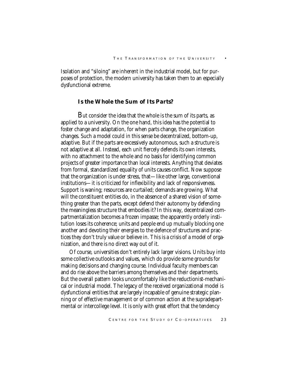Isolation and "siloing" are inherent in the industrial model, but for purposes of protection, the modern university has taken them to an especially dysfunctional extreme.

# *Is the Whole the Sum of Its Parts?*

But consider the idea that the whole is the sum of its parts, as applied to a university. On the one hand, this idea has the potential to foster change and adaptation, for when parts change, the organization changes. Such a model could in this sense be decentralized, bottom-up, adaptive. But if the parts are excessively autonomous, such a structure is not adaptive at all. Instead, each unit fiercely defends its own interests, with no attachment to the whole and no basis for identifying common projects of greater importance than local interests. Anything that deviates from formal, standardized equality of units causes conflict. Now suppose that the organization is under stress, that—like other large, conventional institutions—it is criticized for inflexibility and lack of responsiveness. Support is waning; resources are curtailed; demands are growing. What will the constituent entities do, in the absence of a shared vision of something greater than the parts, except defend their autonomy by defending the meaningless structure that embodies it? In this way, decentralized compartmentalization becomes a frozen impasse; the apparently orderly institution loses its coherence; units and people end up mutually blocking one another and devoting their energies to the defence of structures and practices they don't truly value or believe in. This is a crisis of a model of organization, and there is no direct way out of it.

Of course, universities don't entirely lack larger visions. Units buy into some collective outlooks and values, which do provide some grounds for making decisions and changing course. Individual faculty members can and do rise above the barriers among themselves and their departments. But the overall pattern looks uncomfortably like the reductionist-mechanical or industrial model. The legacy of the received organizational model is dysfunctional entities that are largely incapable of genuine strategic planning or of effective management or of common action at the supradepartmental or intercollege level. It is only with great effort that the tendency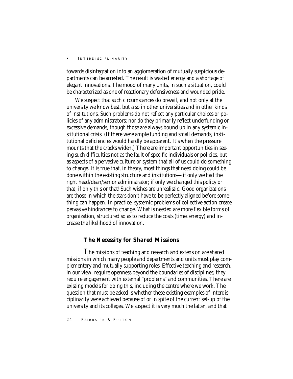towards disintegration into an agglomeration of mutually suspicious departments can be arrested. The result is wasted energy and a shortage of elegant innovations. The mood of many units, in such a situation, could be characterized as one of reactionary defensiveness and wounded pride.

We suspect that such circumstances do prevail, and not only at the university we know best, but also in other universities and in other kinds of institutions. Such problems do not reflect any particular choices or policies of any administrators; nor do they primarily reflect underfunding or excessive demands, though those are always bound up in any systemic institutional crisis. (If there were ample funding and small demands, institutional deficiencies would hardly be apparent. It's when the pressure mounts that the cracks widen.) There are important opportunities in seeing such difficulties not as the fault of specific individuals or policies, but as aspects of a pervasive culture or system that all of us could do something to change. It is true that, *in theory,* most things that need doing could be done within the existing structure and institutions—if only we had the right head/dean/senior administrator; if only we changed this policy or that; if only this or that! Such wishes are unrealistic. Good organizations are those in which the stars don't have to be perfectly aligned before something can happen. In practice, systemic problems of collective action create pervasive hindrances to change. What is needed are more flexible forms of organization, structured so as to reduce the costs (time, energy) and increase the likelihood of innovation.

# *The Necessity for Shared Missions*

The missions of teaching and research and extension are shared missions in which many people and departments and units must play complementary and mutually supporting roles. Effective teaching and research, in our view, require openness beyond the boundaries of disciplines; they require engagement with external "problems" and communities. There are existing models for doing this, including the centre where we work. The question that must be asked is whether these existing examples of interdisciplinarity were achieved because of or in spite of the current set-up of the university and its colleges. We suspect it is very much the latter, and that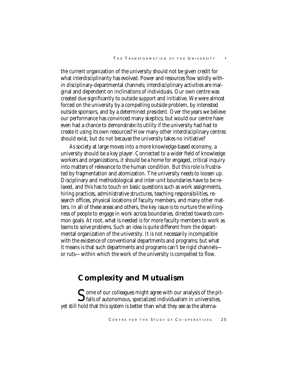the current organization of the university should not be given credit for what interdisciplinarity has evolved. Power and resources flow solidly within disciplinary-departmental channels; interdisciplinary activities are marginal and dependent on inclinations of individuals. Our own centre was created due significantly to outside support and initiative. We were almost forced on the university by a compelling outside problem, by interested outside sponsors, and by a determined president. Over the years we believe our performance has convinced many skeptics; but would our centre have even had a chance to demonstrate its utility if the university had had to create it using its own resources? How many other interdisciplinary centres should exist, but do not because the university takes no initiative?

As society at large moves into a more knowledge-based economy, a university should be a key player. Connected to a wider field of knowledge workers and organizations, it should be a home for engaged, critical inquiry into matters of relevance to the human condition. But this role is frustrated by fragmentation and atomization. The university needs to loosen up. Disciplinary and methodological and inter-unit boundaries have to be relaxed, and this has to touch on basic questions such as work assignments, hiring practices, administrative structures, teaching responsibilities, research offices, physical locations of faculty members, and many other matters. In all of these areas and others, the key issue is to nurture the willingness of people to engage in work across boundaries, directed towards common goals. At root, what is needed is for more faculty members to work as *teams* to solve *problems*. Such an idea is quite different from the departmental organization of the university. It is not necessarily incompatible with the existence of conventional departments and programs; but what it means is that such departments and programs can't be rigid channels or ruts—within which the work of the university is compelled to flow.

# **Complexity and Mutualism**

 $\sum$  ome of our colleagues might agree with our analysis of the pit-<br>falls of autonomous, specialized individualism in universities, yet still hold that this system is better than what they see as the alterna-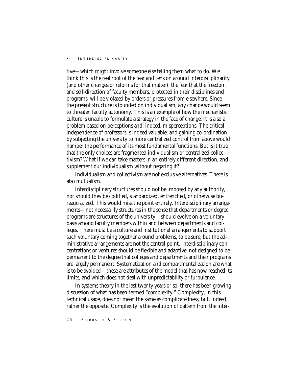tive—which might involve someone else telling them what to do. We think this is the real root of the fear and tension around interdisciplinarity (and other changes or reforms for that matter): the fear that the freedom and self-direction of faculty members, protected in their disciplines and programs, will be violated by orders or pressures from elsewhere. Since the present structure is founded on individualism, any change would seem to threaten faculty autonomy. This is an example of how the mechanistic culture is unable to formulate a strategy in the face of change. It is also a problem based on perceptions and, indeed, misperceptions. The critical independence of professors is indeed valuable; and gaining co-ordination by subjecting the university to more centralized control from above would hamper the performance of its most fundamental functions. But is it true that the only choices are fragmented individualism or centralized collectivism? What if we can take matters in an entirely different direction, and supplement our individualism without negating it?

Individualism and collectivism are not exclusive alternatives. There is also mutualism.

Interdisciplinary structures should not be imposed by any authority, nor should they be codified, standardized, entrenched, or otherwise bureaucratized. This would miss the point entirely. Interdisciplinary arrangements—not necessarily structures in the sense that departments or degree programs are structures of the university—should evolve on a voluntary basis among faculty members within and between departments and colleges. There must be a culture and institutional arrangements to support such voluntary coming together around problems, to be sure; but the administrative arrangements are not the central point. Interdisciplinary concentrations or ventures should be flexible and adaptive, not designed to be permanent to the degree that colleges and departments and their programs are largely permanent. Systematization and compartmentalization are what is to be avoided—these are attributes of the model that has now reached its limits, and which does not deal with unpredictability or turbulence.

In systems theory in the last twenty years or so, there has been growing discussion of what has been termed "complexity." Complexity, in this technical usage, does not mean the same as complicatedness, but, indeed, rather the opposite. Complexity is the evolution of pattern from the inter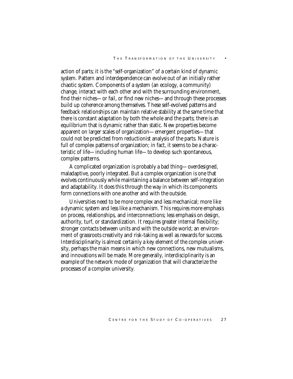action of parts; it is the "self-organization" of a certain kind of dynamic system. Pattern and interdependence can evolve out of an initially rather chaotic system. Components of a system (an ecology, a community) change, interact with each other and with the surrounding environment, find their niches—or fail, or find new niches—and through these processes build up coherence among themselves. These self-evolved patterns and feedback relationships can maintain relative stability at the same time that there is constant adaptation by both the whole and the parts; there is an equilibrium that is dynamic rather than static. New properties become apparent on larger scales of organization—emergent properties—that could not be predicted from reductionist analysis of the parts. Nature is full of complex patterns of organization; in fact, it seems to be a characteristic of life—including human life—to develop such spontaneous, complex patterns.

A complicated organization is probably a bad thing—overdesigned, maladaptive, poorly integrated. But a complex organization is one that evolves continuously while maintaining a balance between self-integration and adaptability. It does this through the way in which its components form connections with one another and with the outside.

Universities need to be more complex and less mechanical; more like a dynamic system and less like a mechanism. This requires more emphasis on process, relationships, and interconnections; less emphasis on design, authority, turf, or standardization. It requires greater internal flexibility; stronger contacts between units and with the outside world; an environment of grassroots creativity and risk-taking as well as rewards for success. Interdisciplinarity is almost certainly a key element of the complex university, perhaps the main means in which new connections, new mutualisms, and innovations will be made. More generally, interdisciplinarity is an example of the network mode of organization that will characterize the processes of a complex university.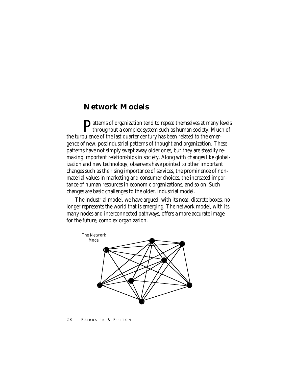# **Network Models**

Patterns of organization tend to repeat themselves at many levels<br>throughout a complex system of the contract of the contract of the contract of the contract of the contract of throughout a complex system such as human society. Much of the turbulence of the last quarter century has been related to the emergence of new, postindustrial patterns of thought and organization. These patterns have not simply swept away older ones, but they are steadily remaking important relationships in society. Along with changes like globalization and new technology, observers have pointed to other important changes such as the rising importance of services, the prominence of nonmaterial values in marketing and consumer choices, the increased importance of human resources in economic organizations, and so on. Such changes are basic challenges to the older, industrial model.

The industrial model, we have argued, with its neat, discrete boxes, no longer represents the world that is emerging. The network model, with its many nodes and interconnected pathways, offers a more accurate image for the future, complex organization.



#### 28 FAIRBAIRN & FULTON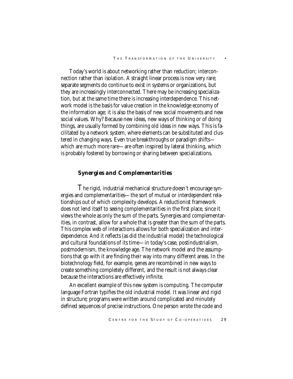Today's world is about networking rather than reduction; interconnection rather than isolation. A straight linear process is now very rare; separate segments do continue to exist in systems or organizations, but they are increasingly interconnected. There may be increasing specialization, but at the same time there is increasing interdependence. This network model is the basis for value creation in the knowledge economy of the information age; it is also the basis of new social movements and new social values. Why? Because new ideas, new ways of thinking or of doing things, are usually formed by combining old ideas in new ways. This is facilitated by a network system, where elements can be substituted and clustered in changing ways. Even true breakthroughs or paradigm shifts which are much more rare—are often inspired by lateral thinking, which is probably fostered by borrowing or sharing between specializations.

# *Synergies and Complementarities*

The rigid, industrial mechanical structure doesn't encourage synergies and complementarities—the sort of mutual or interdependent relationships out of which complexity develops. A reductionist framework does not lend itself to seeing complementarities in the first place, since it views the whole as only the sum of the parts. Synergies and complementarities, in contrast, allow for a whole that is greater than the sum of the parts. This complex web of interactions allows for both specialization and interdependence. And it reflects (as did the industrial model) the technological and cultural foundations of its time—in today's case, postindustrialism, postmodernism, the knowledge age. The network model and the assumptions that go with it are finding their way into many different areas. In the biotechnology field, for example, genes are recombined in new ways to create something completely different, and the result is not always clear because the interactions are effectively infinite.

An excellent example of this new system is computing. The computer language Fortran typifies the old industrial model. It was linear and rigid in structure; programs were written around complicated and minutely defined sequences of precise instructions. One person wrote the code and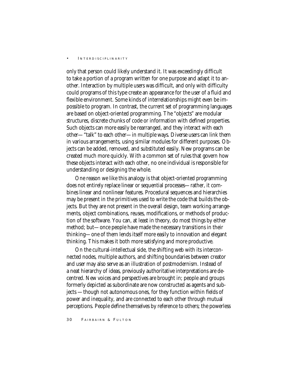only that person could likely understand it. It was exceedingly difficult to take a portion of a program written for one purpose and adapt it to another. Interaction by multiple users was difficult, and only with difficulty could programs of this type create an appearance for the user of a fluid and flexible environment. Some kinds of interrelationships might even be impossible to program. In contrast, the current set of programming languages are based on object-oriented programming. The "objects" are modular structures, discrete chunks of code or information with defined properties. Such objects can more easily be rearranged, and they interact with each other—"talk" to each other—in multiple ways. Diverse users can link them in various arrangements, using similar modules for different purposes. Objects can be added, removed, and substituted easily. New programs can be created much more quickly. With a common set of rules that govern how these objects interact with each other, no one individual is responsible for understanding or designing the whole.

One reason we like this analogy is that object-oriented programming does not entirely replace linear or sequential processes—rather, it combines linear and nonlinear features. Procedural sequences and hierarchies may be present in the primitives used to write the code that builds the objects. But they are not present in the overall design, team working arrangements, object combinations, reuses, modifications, or methods of production of the software. You can, at least in theory, do most things by either method; but—once people have made the necessary transitions in their thinking—one of them lends itself more easily to innovation and elegant thinking. This makes it both more satisfying and more productive.

On the cultural-intellectual side, the shifting web with its interconnected nodes, multiple authors, and shifting boundaries between creator and user may also serve as an illustration of postmodernism. Instead of a neat hierarchy of ideas, previously authoritative interpretations are decentred. New voices and perspectives are brought in; people and groups formerly depicted as subordinate are now constructed as agents and subjects —though not autonomous ones, for they function within fields of power and inequality, and are connected to each other through mutual perceptions. People define themselves by reference to others; the powerless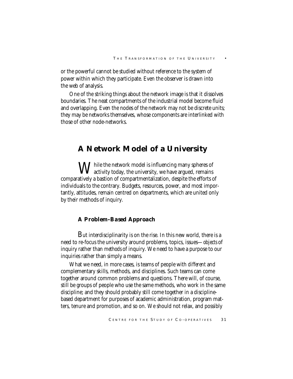or the powerful cannot be studied without reference to the system of power within which they participate. Even the observer is drawn into the web of analysis.

One of the striking things about the network image is that it dissolves boundaries. The neat compartments of the industrial model become fluid and overlapping. Even the nodes of the network may not be discrete units; they may be networks themselves, whose components are interlinked with those of other node-networks.

# **A Network Model of a University**

 $\mathbf{W}$  hile the network model is influencing many spheres of  $\boldsymbol{V}$  activity today, the university, we have argued, remains comparatively a bastion of compartmentalization, despite the efforts of individuals to the contrary. Budgets, resources, power, and most importantly, attitudes, remain centred on departments, which are united only by their methods of inquiry.

# *A Problem-Based Approach*

But interdisciplinarity is on the rise. In this new world, there is a need to re-focus the university around problems, topics, issues—*objects* of inquiry rather than *methods* of inquiry. We need to have a purpose to our inquiries rather than simply a means.

What we need, in more cases, is teams of people with *different* and complementary skills, methods, and disciplines. Such teams can come together around common problems and questions. There will, of course, still be groups of people who use the same methods, who work in the same discipline; and they should probably still come together in a disciplinebased department for purposes of academic administration, program matters, tenure and promotion, and so on. We should not relax, and possibly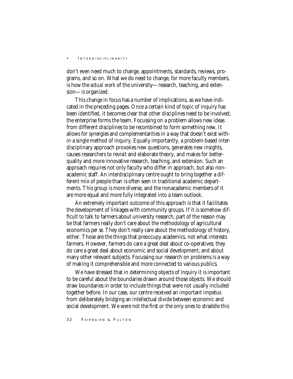don't even need much to change, appointments, standards, reviews, programs, and so on. What we do need to change, for more faculty members, is how the *actual work* of the university—research, teaching, and extension—is organized.

This change in focus has a number of implications, as we have indicated in the preceding pages. Once a certain kind of topic of inquiry has been identified, it becomes clear that other disciplines need to be involved; the enterprise forms the team. Focussing on a problem allows new ideas from different disciplines to be recombined to form something new. It allows for synergies and complementarities in a way that doesn't exist within a single method of inquiry. Equally importantly, a problem-based interdisciplinary approach provokes new questions, generates new insights, causes researchers to revisit and elaborate theory, and makes for betterquality and more innovative research, teaching, and extension. Such an approach requires not only faculty who differ in approach, but also nonacademic staff. An interdisciplinary centre ought to bring together a different mix of people than is often seen in traditional academic departments. This group is more diverse, and the nonacademic members of it are more equal and more fully integrated into a team outlook.

An extremely important outcome of this approach is that it facilitates the development of linkages with community groups. If it is somehow difficult to talk to farmers about university research, part of the reason may be that farmers really don't care about the methodology of agricultural economics *per se*. They don't really care about the methodology of history, either. Those are the things that preoccupy academics, not what interests farmers. However, farmers do care a great deal about co-operatives; they do care a great deal about economic and social development; and about many other relevant subjects. Focussing our research on problems is a way of making it comprehensible and more connected to various publics.

We have stressed that in determining objects of inquiry it is important to be careful about the boundaries drawn around those objects. We should draw boundaries in order to include things that were not usually included together before. In our case, our centre received an important impetus from deliberately bridging an intellectual divide between economic and social development. We were not the first or the only ones to straddle this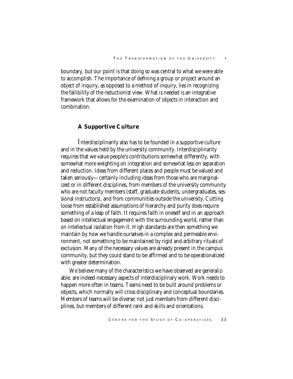boundary, but our point is that doing so was central to what we were able to accomplish. The importance of defining a group or project around an object of inquiry, as opposed to a method of inquiry, lies in recognizing the fallibility of the reductionist view. What is needed is an integrative framework that allows for the examination of objects in interaction and combination.

# *A Supportive Culture*

Interdisciplinarity also has to be founded in a supportive culture and in the values held by the university community. Interdisciplinarity requires that we value people's contributions somewhat differently, with somewhat more weighting on integration and somewhat less on separation and reduction. Ideas from different places and people must be valued and taken seriously—certainly including ideas from those who are marginalized or in different disciplines, from members of the university community who are not faculty members (staff, graduate students, undergraduates, sessional instructors), and from communities outside the university. Cutting loose from established assumptions of hierarchy and purity does require something of a leap of faith. It requires faith in oneself and in an approach based on intellectual engagement with the surrounding world, rather than on intellectual isolation from it. High standards are then something we maintain by how we handle ourselves in a complex and permeable environment, not something to be maintained by rigid and arbitrary rituals of exclusion. Many of the necessary values are already present in the campus community, but they could stand to be affirmed and to be operationalized with greater determination.

We believe many of the characteristics we have observed are generalizable, are indeed necessary aspects of interdisciplinary work. Work needs to happen more often in teams. Teams need to be built around problems or objects, which normally will cross disciplinary and conceptual boundaries. Members of teams will be diverse: not just members from different disciplines, but members of different rank and skills and orientations.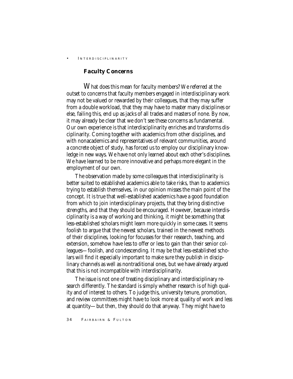### *Faculty Concerns*

What does this mean for faculty members? We referred at the outset to concerns that faculty members engaged in interdisciplinary work may not be valued or rewarded by their colleagues, that they may suffer from a double workload, that they may have to master many disciplines or else, failing this, end up as jacks of all trades and masters of none. By now, it may already be clear that we don't see these concerns as fundamental. Our own experience is that interdisciplinarity enriches and transforms disciplinarity. Coming together with academics from other disciplines, and with nonacademics and representatives of relevant communities, around a concrete object of study, has forced us to employ our disciplinary knowledge in new ways. We have not only learned about each other's disciplines. We have learned to be more innovative and perhaps more elegant in the employment of our own.

The observation made by some colleagues that interdisciplinarity is better suited to established academics able to take risks, than to academics trying to establish themselves, in our opinion misses the main point of the concept. It is true that well-established academics have a good foundation from which to join interdisciplinary projects, that they bring distinctive strengths, and that they should be encouraged. However, because interdisciplinarity is a way of working and thinking, it might be something that less-established scholars might learn more quickly in some cases. It seems foolish to argue that the newest scholars, trained in the newest methods of their disciplines, looking for focusses for their research, teaching, and extension, somehow have less to offer or less to gain than their senior colleagues—foolish, and condescending. It may be that less-established scholars will find it especially important to make sure they publish in disciplinary channels as well as nontraditional ones, but we have already argued that this is not incompatible with interdisciplinarity.

The issue is not one of treating disciplinary and interdisciplinary research differently. The standard is simply whether research is of high quality and of interest to others. To judge this, university tenure, promotion, and review committees might have to look more at quality of work and less at quantity—but then, they should do that anyway. They might have to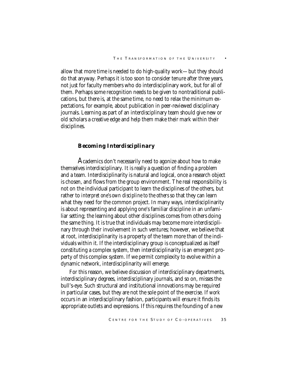allow that more time is needed to do high-quality work—but they should do that anyway. Perhaps it is too soon to consider tenure after three years, not just for faculty members who do interdisciplinary work, but for all of them. Perhaps some recognition needs to be given to nontraditional publications, but there is, at the same time, no need to relax the minimum expectations, for example, about publication in peer-reviewed disciplinary journals. Learning as part of an interdisciplinary team should give new or old scholars a creative edge and help them make their mark within their disciplines.

# *Becoming Interdisciplinary*

Academics don't necessarily need to agonize about how to make themselves interdisciplinary. It is really a question of finding a problem and a team. Interdisciplinarity is natural and logical, once a research object is chosen, and flows from the group environment. The real responsibility is not on the individual participant to learn the disciplines of the others, but rather to *interpret one's own discipline to the others* so that they can learn what they need for the common project. In many ways, interdisciplinarity is about representing and applying one's familiar discipline in an unfamiliar setting; the learning about other disciplines comes from others doing the same thing. It is true that individuals may become more interdisciplinary through their involvement in such ventures; however, we believe that at root, interdisciplinarity is a property of the team more than of the individuals within it. If the interdisciplinary group is conceptualized as itself constituting a complex system, then interdisciplinarity is an emergent property of this complex system. If we permit complexity to evolve within a dynamic network, interdisciplinarity will emerge.

For this reason, we believe discussion of interdisciplinary departments, interdisciplinary degrees, interdisciplinary journals, and so on, misses the bull's-eye. Such structural and institutional innovations may be required in particular cases, but they are not the sole point of the exercise. If *work* occurs in an interdisciplinary fashion, participants will ensure it finds its appropriate outlets and expressions. If this requires the founding of a new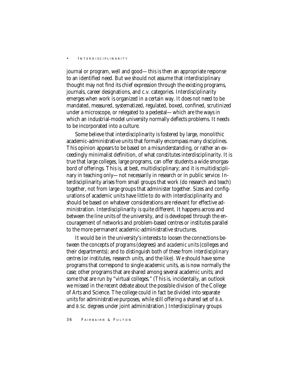journal or program, well and good—this is then an appropriate response to an identified need. But we should not assume that interdisciplinary thought may not find its chief expression through the existing programs, journals, career designations, and c.v. categories. Interdisciplinarity emerges when work is organized in a certain way. It does not need to be mandated, measured, systematized, regulated, boxed, confined, scrutinized under a microscope, or relegated to a pedestal—which are the ways in which an industrial-model university normally deflects problems. It needs to be incorporated into a culture.

Some believe that interdisciplinarity is fostered by large, monolithic academic-administrative units that formally encompass many disciplines. This opinion appears to be based on a misunderstanding, or rather an exceedingly minimalist definition, of what constitutes interdisciplinarity. It is true that large colleges, large programs, can offer students a wide smorgasbord of offerings. This is, at best, multidisciplinary; and it is multidisciplinary in teaching only—not necessarily in research or in public service. Interdisciplinarity arises from small groups that work (do research and teach) together, not from large groups that administer together. Sizes and configurations of academic units have little to do with interdisciplinarity and should be based on whatever considerations are relevant for effective administration. Interdisciplinarity is quite different. It happens across and between the line units of the university, and is developed through the encouragement of networks and problem-based centres or institutes parallel to the more permanent academic-administrative structures.

It would be in the university's interests to loosen the connections between the concepts of *programs* (degrees) and *academic units* (colleges and their departments); and to distinguish both of these from *interdisciplinary centres* (or institutes, research units, and the like). We should have some programs that correspond to single academic units, as is now normally the case; other programs that are shared among several academic units; and some that are run by "virtual colleges." (This is, incidentally, an outlook we missed in the recent debate about the possible division of the College of Arts and Science. The college could in fact be divided into separate units for administrative purposes, while still offering a shared set of B.A. and B.Sc. degrees under joint administration.) Interdisciplinary groups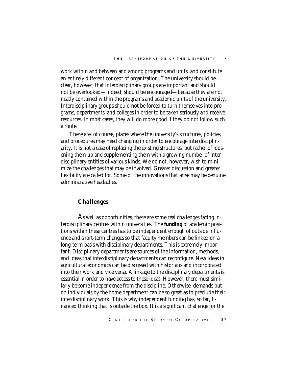work within and between and among programs and units, and constitute an entirely different concept of organization. The university should be clear, however, that interdisciplinary groups are important and should not be overlooked—indeed, should be encouraged—because they are not neatly contained within the programs and academic units of the university. Interdisciplinary groups should not be forced to turn themselves into programs, departments, and colleges in order to be taken seriously and receive resources. In most cases, they will do more good if they do not follow such a route.

There are, of course, places where the university's structures, policies, and procedures may need changing in order to encourage interdisciplinarity. It is not a case of replacing the existing structures, but rather of loosening them up and supplementing them with a growing number of interdisciplinary entities of various kinds. We do not, however, wish to minimize the challenges that may be involved. Greater discussion and greater flexibility are called for. Some of the innovations that arise may be genuine administrative headaches.

### *Challenges*

As well as opportunities, there are some real challenges facing interdisciplinary centres within universities. The **funding** of academic positions within these centres has to be independent enough of outside influence and short-term changes so that faculty members can be linked on a long-term basis with disciplinary departments. This is extremely important. Disciplinary departments are sources of the information, methods, and ideas that interdisciplinary departments can reconfigure. New ideas in agricultural economics can be discussed with historians and incorporated into their work and vice versa. A linkage to the disciplinary departments is essential in order to have access to these ideas. However, there must similarly be some independence from the discipline. Otherwise, demands put on individuals by the home department can be so great as to preclude their interdisciplinary work. This is why independent funding has, so far, financed thinking that is outside the box. It is a significant challenge for the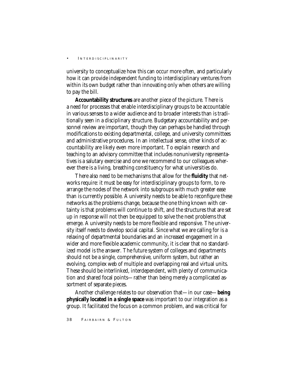university to conceptualize how this can occur more often, and particularly how it can provide independent funding to interdisciplinary ventures from within its own budget rather than innovating only when others are willing to pay the bill.

**Accountability structures** are another piece of the picture. There is a need for processes that enable interdisciplinary groups to be accountable in various senses to a wider audience and to broader interests than is traditionally seen in a disciplinary structure. Budgetary accountability and personnel review are important, though they can perhaps be handled through modifications to existing departmental, college, and university committees and administrative procedures. In an intellectual sense, other kinds of accountability are likely even more important. To explain research and teaching to an advisory committee that includes nonuniversity representatives is a salutary exercise and one we recommend to our colleagues wherever there is a living, breathing constituency for what universities do.

There also need to be mechanisms that allow for the **fluidity** that networks require: it must be easy for interdisciplinary groups to form, to rearrange the nodes of the network into subgroups with much greater ease than is currently possible. A university needs to be able to reconfigure these networks as the problems change, because the one thing known with certainty is that problems will continue to shift, and the structures that are set up in response will not then be equipped to solve the next problems that emerge. A university needs to be more flexible and responsive. The university itself needs to develop social capital. Since what we are calling for is a relaxing of departmental boundaries and an increased engagement in a wider and more flexible academic community, it is clear that no standardized model is the answer. The future system of colleges and departments should not be a single, comprehensive, uniform system, but rather an evolving, complex web of multiple and overlapping real and virtual units. These should be interlinked, interdependent, with plenty of communication and shared focal points—rather than being merely a complicated assortment of separate pieces.

Another challenge relates to our observation that—in our case—**being physically located in a single space** was important to our integration as a group. It facilitated the focus on a common problem, and was critical for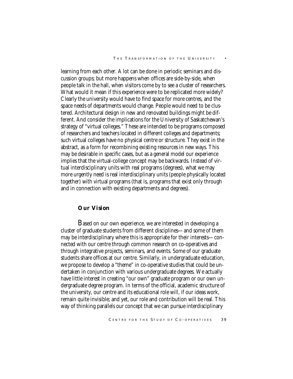learning from each other. A lot can be done in periodic seminars and discussion groups; but more happens when offices are side-by-side, when people talk in the hall, when visitors come by to see a cluster of researchers. What would it mean if this experience were to be replicated more widely? Clearly the university would have to find space for more centres, and the space needs of departments would change. People would need to be clustered. Architectural design in new and renovated buildings might be different. And consider the implications for the University of Saskatchewan's strategy of "virtual colleges." These are intended to be programs composed of researchers and teachers located in different colleges and departments; such virtual colleges have no physical centre or structure. They exist in the abstract, as a form for recombining existing resources in new ways. This may be desirable in specific cases, but as a general model our experience implies that the virtual-college concept may be backwards. Instead of virtual interdisciplinary units with real programs (degrees), what we may more urgently need is real interdisciplinary units (people physically located together) with virtual programs (that is, programs that exist only through and in connection with existing departments and degrees).

## *Our Vision*

Based on our own experience, we are interested in developing a cluster of graduate students from different disciplines—and some of them may be interdisciplinary where this is appropriate for their interests—connected with our centre through common research on co-operatives and through integrative projects, seminars, and events. Some of our graduate students share offices at our centre. Similarly, in undergraduate education, we propose to develop a "theme" in co-operative studies that could be undertaken in conjunction with various undergraduate degrees. We actually have little interest in creating "our own" graduate program or our own undergraduate degree program. In terms of the official, academic structure of the university, our centre and its educational role will, if our ideas work, remain quite invisible; and yet, our role and contribution will be real. This way of thinking parallels our concept that we can pursue interdisciplinary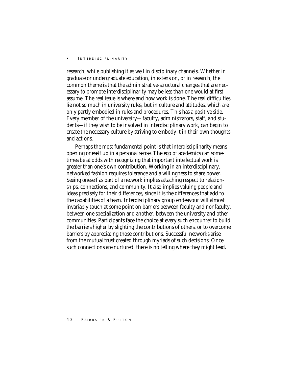research, while publishing it as well in disciplinary channels. Whether in graduate or undergraduate education, in extension, or in research, the common theme is that the administrative-structural changes that are necessary to promote interdisciplinarity may be less than one would at first assume. The real issue is where and how work is done. The real difficulties lie not so much in university rules, but in culture and attitudes, which are only partly embodied in rules and procedures. This has a positive side. Every member of the university—faculty, administrators, staff, and students—if they wish to be involved in interdisciplinary work, can begin to create the necessary culture by striving to embody it in their own thoughts and actions.

Perhaps the most fundamental point is that interdisciplinarity means opening oneself up in a personal sense. The ego of academics can sometimes be at odds with recognizing that important intellectual work is greater than one's own contribution. Working in an interdisciplinary, networked fashion requires tolerance and a willingness to share power. Seeing oneself as part of a network implies attaching respect to relationships, connections, and community. It also implies valuing people and ideas precisely for their differences, since it is the differences that add to the capabilities of a team. Interdisciplinary group endeavour will almost invariably touch at some point on barriers between faculty and nonfaculty, between one specialization and another, between the university and other communities. Participants face the choice at every such encounter to build the barriers higher by slighting the contributions of others, or to overcome barriers by appreciating those contributions. Successful networks arise from the mutual trust created through myriads of such decisions. Once such connections are nurtured, there is no telling where they might lead.